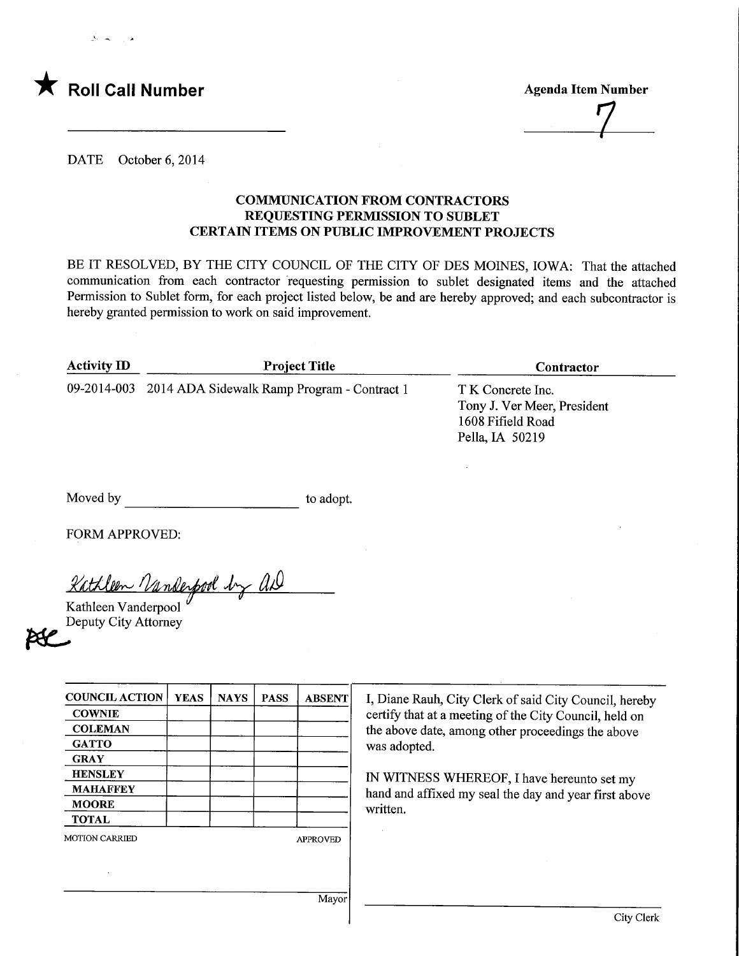

**Agenda Item Number** 

DATE October 6, 2014

## COMMUNICATION FROM CONTRACTORS REQUESTING PERMISSION TO SUBLET CERTAIN ITEMS ON PUBLIC IMPROVEMENT PROJECTS

BE IT RESOLVED, BY THE CITY COUNCIL OF THE CITY OF DES MOINES, IOWA: That the attached communication from each contractor requesting permission to sublet designated items and the attached Permission to Sublet form, for each project listed below, be and are hereby approved; and each subcontractor is hereby granted permission to work on said improvement.

| <b>Activity ID</b> | <b>Project Title</b>                                    | <b>Contractor</b>                                                                        |  |  |
|--------------------|---------------------------------------------------------|------------------------------------------------------------------------------------------|--|--|
|                    | 09-2014-003 2014 ADA Sidewalk Ramp Program - Contract 1 | T K Concrete Inc.<br>Tony J. Ver Meer, President<br>1608 Fifield Road<br>Pella, IA 50219 |  |  |

Moved by to adopt.

FORM APPROVED:

<u>Kathleen Vande</u> had by all

Kathleen Vanderpool Deputy City Attorney

| <b>COUNCIL ACTION</b> | <b>YEAS</b> | <b>NAYS</b> | <b>PASS</b> | <b>ABSENT</b>   |
|-----------------------|-------------|-------------|-------------|-----------------|
| <b>COWNIE</b>         |             |             |             |                 |
| <b>COLEMAN</b>        |             |             |             |                 |
| <b>GATTO</b>          |             |             |             |                 |
| <b>GRAY</b>           |             |             |             |                 |
| <b>HENSLEY</b>        |             |             |             |                 |
| <b>MAHAFFEY</b>       |             |             |             |                 |
| <b>MOORE</b>          |             |             |             |                 |
| <b>TOTAL</b>          |             |             |             |                 |
| <b>MOTION CARRIED</b> |             |             |             | <b>APPROVED</b> |

I, Diane Rauh, City Clerk of said City Council, hereby certify that at a meeting of the City Council, held on the above date, among other proceedings the above was adopted.

IN WITNESS WHEREOF, I have hereunto set my hand and affixed my seal the day and year first above written.

Mayor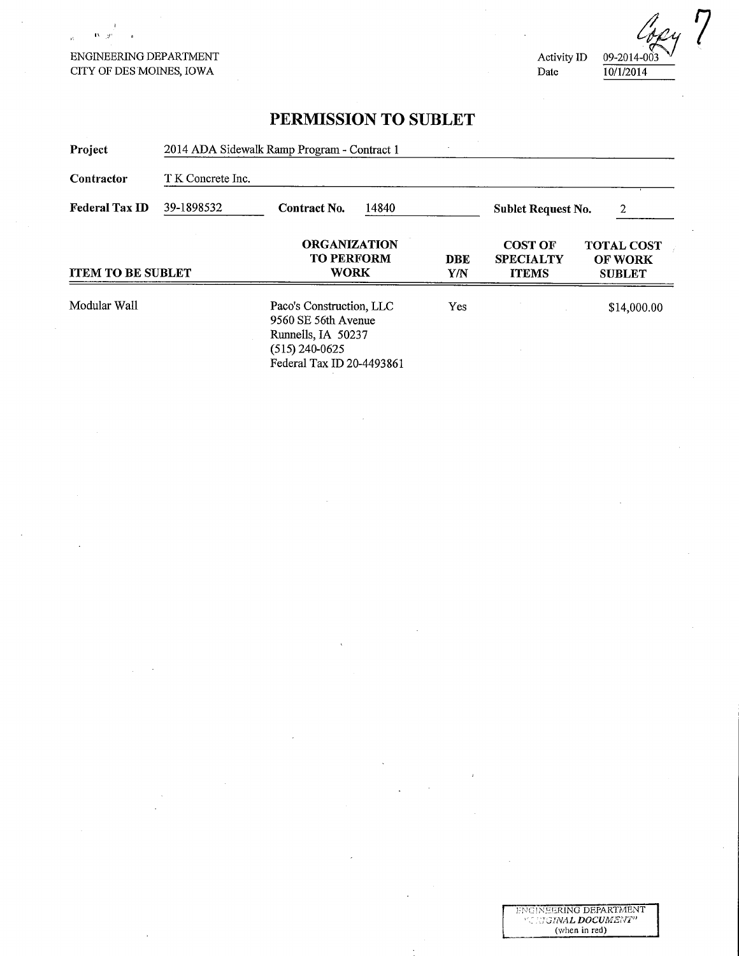## ENGINEERING DEPARTMENT CITY OF DES MOINES, IOWA

 $\mathbf{B}$   $\mathbf{y}$ 

 $\bar{\Omega}$ 

(op Activity ID 09-2014-003 Date 10/1/2014

 $\overline{7}$ 

## PERMISSION TO SUBLET

| Project                  | 2014 ADA Sidewalk Ramp Program - Contract 1<br>T K Concrete Inc. |                                                                                                                        |            |                                                    |                                                      |  |
|--------------------------|------------------------------------------------------------------|------------------------------------------------------------------------------------------------------------------------|------------|----------------------------------------------------|------------------------------------------------------|--|
| Contractor               |                                                                  |                                                                                                                        |            |                                                    |                                                      |  |
| <b>Federal Tax ID</b>    | 39-1898532<br>Contract No.<br>14840                              |                                                                                                                        |            | <b>Sublet Request No.</b><br>2                     |                                                      |  |
| <b>ITEM TO BE SUBLET</b> |                                                                  | <b>ORGANIZATION</b><br><b>TO PERFORM</b><br><b>WORK</b>                                                                | DBE<br>Y/N | <b>COST OF</b><br><b>SPECIALTY</b><br><b>ITEMS</b> | <b>TOTAL COST</b><br><b>OF WORK</b><br><b>SUBLET</b> |  |
| Modular Wall             |                                                                  | Paco's Construction, LLC<br>9560 SE 56th Avenue<br>Runnells, IA 50237<br>$(515)$ 240-0625<br>Federal Tax ID 20-4493861 | Yes        |                                                    | \$14,000.00                                          |  |